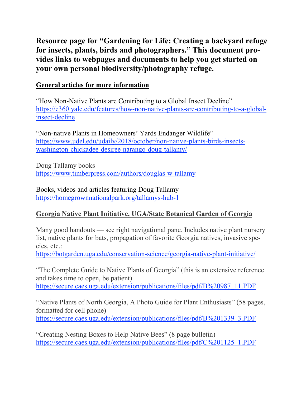Resource page for "Gardening for Life: Creating a backyard refuge for insects, plants, birds and photographers." This document provides links to webpages and documents to help you get started on your own personal biodiversity/photography refuge.

## General articles for more information

"How Non-Native Plants are Contributing to a Global Insect Decline" https://e360.yale.edu/features/how-non-native-plants-are-contributing-to-a-globalinsect-decline

"Non-native Plants in Homeowners' Yards Endanger Wildlife" https://www.udel.edu/udaily/2018/october/non-native-plants-birds-insectswashington-chickadee-desiree-narango-doug-tallamy/

Doug Tallamy books https://www.timberpress.com/authors/douglas-w-tallamy

Books, videos and articles featuring Doug Tallamy https://homegrownnationalpark.org/tallamys-hub-1

# Georgia Native Plant Initiative, UGA/State Botanical Garden of Georgia

Many good handouts — see right navigational pane. Includes native plant nursery list, native plants for bats, propagation of favorite Georgia natives, invasive species, etc.:

https://botgarden.uga.edu/conservation-science/georgia-native-plant-initiative/

"The Complete Guide to Native Plants of Georgia" (this is an extensive reference and takes time to open, be patient) https://secure.caes.uga.edu/extension/publications/files/pdf/B%20987\_11.PDF

"Native Plants of North Georgia, A Photo Guide for Plant Enthusiasts" (58 pages, formatted for cell phone) https://secure.caes.uga.edu/extension/publications/files/pdf/B%201339\_3.PDF

"Creating Nesting Boxes to Help Native Bees" (8 page bulletin) https://secure.caes.uga.edu/extension/publications/files/pdf/C%201125\_1.PDF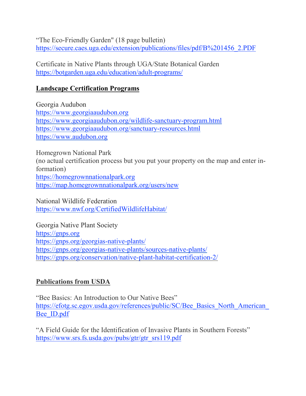"The Eco-Friendly Garden" (18 page bulletin) https://secure.caes.uga.edu/extension/publications/files/pdf/B%201456\_2.PDF

Certificate in Native Plants through UGA/State Botanical Garden https://botgarden.uga.edu/education/adult-programs/

## Landscape Certification Programs

Georgia Audubon https://www.georgiaaudubon.org https://www.georgiaaudubon.org/wildlife-sanctuary-program.html https://www.georgiaaudubon.org/sanctuary-resources.html https://www.audubon.org

Homegrown National Park (no actual certification process but you put your property on the map and enter information) https://homegrownnationalpark.org https://map.homegrownnationalpark.org/users/new

National Wildlife Federation https://www.nwf.org/CertifiedWildlifeHabitat/

Georgia Native Plant Society https://gnps.org https://gnps.org/georgias-native-plants/ https://gnps.org/georgias-native-plants/sources-native-plants/ https://gnps.org/conservation/native-plant-habitat-certification-2/

# Publications from USDA

"Bee Basics: An Introduction to Our Native Bees" https://efotg.sc.egov.usda.gov/references/public/SC/Bee\_Basics\_North\_American Bee\_ID.pdf

"A Field Guide for the Identification of Invasive Plants in Southern Forests" https://www.srs.fs.usda.gov/pubs/gtr/gtr\_srs119.pdf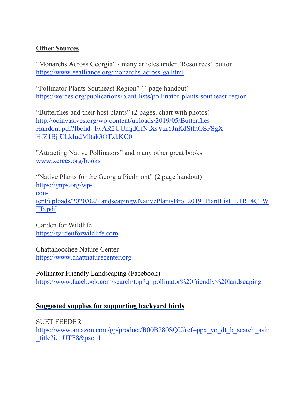### **Other Sources**

"Monarchs Across Georgia" - many articles under "Resources" button https://www.eealliance.org/monarchs-across-ga.html

"Pollinator Plants Southeast Region" (4 page handout) https://xerces.org/publications/plant-lists/pollinator-plants-southeast-region

"Butterflies and their host plants" (2 pages, chart with photos) http://ocinvasives.org/wp-content/uploads/2019/05/Butterflies-Handout.pdf?fbclid=IwAR2UUmjdCfNtXsVzr6JnKdSthtGSFSgX-HfZ1BjfCLkIudMItak3OTxkKC0

"Attracting Native Pollinators" and many other great books www.xerces.org/books

"Native Plants for the Georgia Piedmont" (2 page handout) https://gnps.org/wpcontent/uploads/2020/02/LandscapingwNativePlantsBro\_2019\_PlantList\_LTR\_4C\_W EB.pdf

Garden for Wildlife https://gardenforwildlife.com

Chattahoochee Nature Center https://www.chattnaturecenter.org

Pollinator Friendly Landscaping (Facebook) https://www.facebook.com/search/top?q=pollinator%20friendly%20landscaping

### Suggested supplies for supporting backyard birds

SUET FEEDER

https://www.amazon.com/gp/product/B00B280SQU/ref=ppx\_yo\_dt\_b\_search\_asin \_title?ie=UTF8&psc=1